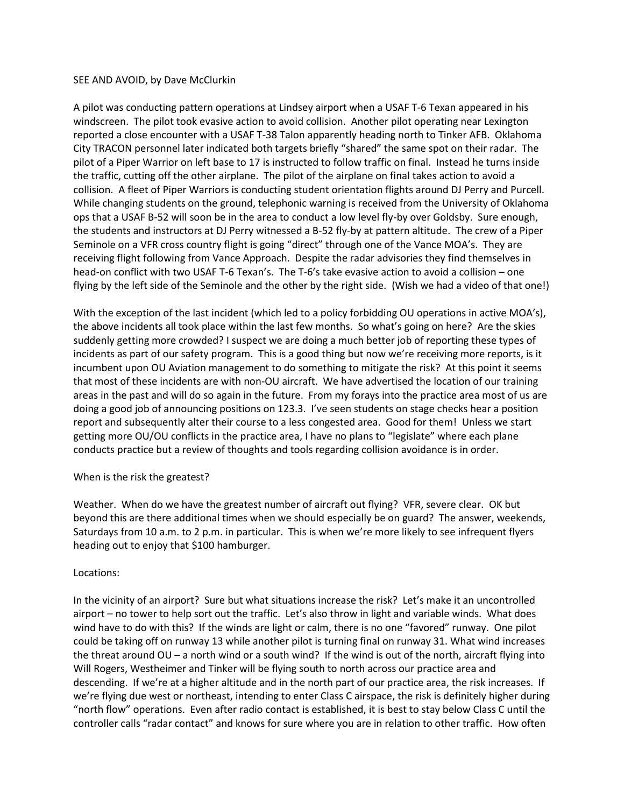## SEE AND AVOID, by Dave McClurkin

A pilot was conducting pattern operations at Lindsey airport when a USAF T-6 Texan appeared in his windscreen. The pilot took evasive action to avoid collision. Another pilot operating near Lexington reported a close encounter with a USAF T-38 Talon apparently heading north to Tinker AFB. Oklahoma City TRACON personnel later indicated both targets briefly "shared" the same spot on their radar. The pilot of a Piper Warrior on left base to 17 is instructed to follow traffic on final. Instead he turns inside the traffic, cutting off the other airplane. The pilot of the airplane on final takes action to avoid a collision. A fleet of Piper Warriors is conducting student orientation flights around DJ Perry and Purcell. While changing students on the ground, telephonic warning is received from the University of Oklahoma ops that a USAF B-52 will soon be in the area to conduct a low level fly-by over Goldsby. Sure enough, the students and instructors at DJ Perry witnessed a B-52 fly-by at pattern altitude. The crew of a Piper Seminole on a VFR cross country flight is going "direct" through one of the Vance MOA's. They are receiving flight following from Vance Approach. Despite the radar advisories they find themselves in head-on conflict with two USAF T-6 Texan's. The T-6's take evasive action to avoid a collision – one flying by the left side of the Seminole and the other by the right side. (Wish we had a video of that one!)

With the exception of the last incident (which led to a policy forbidding OU operations in active MOA's), the above incidents all took place within the last few months. So what's going on here? Are the skies suddenly getting more crowded? I suspect we are doing a much better job of reporting these types of incidents as part of our safety program. This is a good thing but now we're receiving more reports, is it incumbent upon OU Aviation management to do something to mitigate the risk? At this point it seems that most of these incidents are with non-OU aircraft. We have advertised the location of our training areas in the past and will do so again in the future. From my forays into the practice area most of us are doing a good job of announcing positions on 123.3. I've seen students on stage checks hear a position report and subsequently alter their course to a less congested area. Good for them! Unless we start getting more OU/OU conflicts in the practice area, I have no plans to "legislate" where each plane conducts practice but a review of thoughts and tools regarding collision avoidance is in order.

## When is the risk the greatest?

Weather. When do we have the greatest number of aircraft out flying? VFR, severe clear. OK but beyond this are there additional times when we should especially be on guard? The answer, weekends, Saturdays from 10 a.m. to 2 p.m. in particular. This is when we're more likely to see infrequent flyers heading out to enjoy that \$100 hamburger.

## Locations:

In the vicinity of an airport? Sure but what situations increase the risk? Let's make it an uncontrolled airport – no tower to help sort out the traffic. Let's also throw in light and variable winds. What does wind have to do with this? If the winds are light or calm, there is no one "favored" runway. One pilot could be taking off on runway 13 while another pilot is turning final on runway 31. What wind increases the threat around OU – a north wind or a south wind? If the wind is out of the north, aircraft flying into Will Rogers, Westheimer and Tinker will be flying south to north across our practice area and descending. If we're at a higher altitude and in the north part of our practice area, the risk increases. If we're flying due west or northeast, intending to enter Class C airspace, the risk is definitely higher during "north flow" operations. Even after radio contact is established, it is best to stay below Class C until the controller calls "radar contact" and knows for sure where you are in relation to other traffic. How often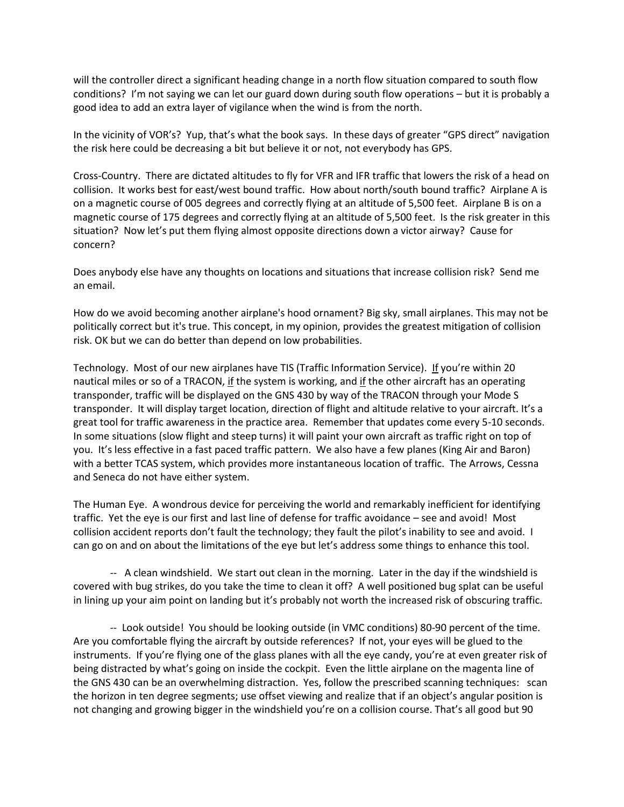will the controller direct a significant heading change in a north flow situation compared to south flow conditions? I'm not saying we can let our guard down during south flow operations – but it is probably a good idea to add an extra layer of vigilance when the wind is from the north.

In the vicinity of VOR's? Yup, that's what the book says. In these days of greater "GPS direct" navigation the risk here could be decreasing a bit but believe it or not, not everybody has GPS.

Cross-Country. There are dictated altitudes to fly for VFR and IFR traffic that lowers the risk of a head on collision. It works best for east/west bound traffic. How about north/south bound traffic? Airplane A is on a magnetic course of 005 degrees and correctly flying at an altitude of 5,500 feet. Airplane B is on a magnetic course of 175 degrees and correctly flying at an altitude of 5,500 feet. Is the risk greater in this situation? Now let's put them flying almost opposite directions down a victor airway? Cause for concern?

Does anybody else have any thoughts on locations and situations that increase collision risk? Send me an email.

How do we avoid becoming another airplane's hood ornament? Big sky, small airplanes. This may not be politically correct but it's true. This concept, in my opinion, provides the greatest mitigation of collision risk. OK but we can do better than depend on low probabilities.

Technology. Most of our new airplanes have TIS (Traffic Information Service). If you're within 20 nautical miles or so of a TRACON, if the system is working, and if the other aircraft has an operating transponder, traffic will be displayed on the GNS 430 by way of the TRACON through your Mode S transponder. It will display target location, direction of flight and altitude relative to your aircraft. It's a great tool for traffic awareness in the practice area. Remember that updates come every 5-10 seconds. In some situations (slow flight and steep turns) it will paint your own aircraft as traffic right on top of you. It's less effective in a fast paced traffic pattern. We also have a few planes (King Air and Baron) with a better TCAS system, which provides more instantaneous location of traffic. The Arrows, Cessna and Seneca do not have either system.

The Human Eye. A wondrous device for perceiving the world and remarkably inefficient for identifying traffic. Yet the eye is our first and last line of defense for traffic avoidance – see and avoid! Most collision accident reports don't fault the technology; they fault the pilot's inability to see and avoid. I can go on and on about the limitations of the eye but let's address some things to enhance this tool.

-- A clean windshield. We start out clean in the morning. Later in the day if the windshield is covered with bug strikes, do you take the time to clean it off? A well positioned bug splat can be useful in lining up your aim point on landing but it's probably not worth the increased risk of obscuring traffic.

-- Look outside! You should be looking outside (in VMC conditions) 80-90 percent of the time. Are you comfortable flying the aircraft by outside references? If not, your eyes will be glued to the instruments. If you're flying one of the glass planes with all the eye candy, you're at even greater risk of being distracted by what's going on inside the cockpit. Even the little airplane on the magenta line of the GNS 430 can be an overwhelming distraction. Yes, follow the prescribed scanning techniques: scan the horizon in ten degree segments; use offset viewing and realize that if an object's angular position is not changing and growing bigger in the windshield you're on a collision course. That's all good but 90